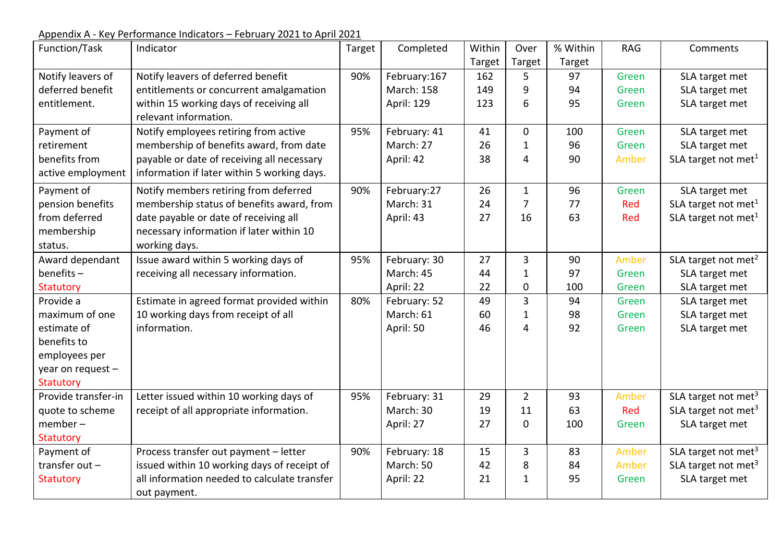Appendix A - Key Performance Indicators – February 2021 to April 2021

| Function/Task       | Indicator                                    | Target | Completed         | Within | Over           | % Within | <b>RAG</b> | Comments                        |
|---------------------|----------------------------------------------|--------|-------------------|--------|----------------|----------|------------|---------------------------------|
|                     |                                              |        |                   | Target | Target         | Target   |            |                                 |
| Notify leavers of   | Notify leavers of deferred benefit           | 90%    | February:167      | 162    | 5              | 97       | Green      | SLA target met                  |
| deferred benefit    | entitlements or concurrent amalgamation      |        | <b>March: 158</b> | 149    | 9              | 94       | Green      | SLA target met                  |
| entitlement.        | within 15 working days of receiving all      |        | April: 129        | 123    | 6              | 95       | Green      | SLA target met                  |
|                     | relevant information.                        |        |                   |        |                |          |            |                                 |
| Payment of          | Notify employees retiring from active        | 95%    | February: 41      | 41     | $\mathbf 0$    | 100      | Green      | SLA target met                  |
| retirement          | membership of benefits award, from date      |        | March: 27         | 26     | $\mathbf{1}$   | 96       | Green      | SLA target met                  |
| benefits from       | payable or date of receiving all necessary   |        | April: 42         | 38     | $\overline{4}$ | 90       | Amber      | SLA target not met <sup>1</sup> |
| active employment   | information if later within 5 working days.  |        |                   |        |                |          |            |                                 |
| Payment of          | Notify members retiring from deferred        | 90%    | February:27       | 26     | $\mathbf{1}$   | 96       | Green      | SLA target met                  |
| pension benefits    | membership status of benefits award, from    |        | March: 31         | 24     | $\overline{7}$ | 77       | Red        | SLA target not met <sup>1</sup> |
| from deferred       | date payable or date of receiving all        |        | April: 43         | 27     | 16             | 63       | Red        | SLA target not met <sup>1</sup> |
| membership          | necessary information if later within 10     |        |                   |        |                |          |            |                                 |
| status.             | working days.                                |        |                   |        |                |          |            |                                 |
| Award dependant     | Issue award within 5 working days of         | 95%    | February: 30      | 27     | 3              | 90       | Amber      | SLA target not met <sup>2</sup> |
| $benefits -$        | receiving all necessary information.         |        | March: 45         | 44     | $\mathbf{1}$   | 97       | Green      | SLA target met                  |
| Statutory           |                                              |        | April: 22         | 22     | $\mathbf 0$    | 100      | Green      | SLA target met                  |
| Provide a           | Estimate in agreed format provided within    | 80%    | February: 52      | 49     | 3              | 94       | Green      | SLA target met                  |
| maximum of one      | 10 working days from receipt of all          |        | March: 61         | 60     | $\mathbf{1}$   | 98       | Green      | SLA target met                  |
| estimate of         | information.                                 |        | April: 50         | 46     | $\overline{4}$ | 92       | Green      | SLA target met                  |
| benefits to         |                                              |        |                   |        |                |          |            |                                 |
| employees per       |                                              |        |                   |        |                |          |            |                                 |
| year on request -   |                                              |        |                   |        |                |          |            |                                 |
| Statutory           |                                              |        |                   |        |                |          |            |                                 |
| Provide transfer-in | Letter issued within 10 working days of      | 95%    | February: 31      | 29     | $\overline{2}$ | 93       | Amber      | SLA target not met <sup>3</sup> |
| quote to scheme     | receipt of all appropriate information.      |        | March: 30         | 19     | 11             | 63       | Red        | SLA target not met <sup>3</sup> |
| $member -$          |                                              |        | April: 27         | 27     | $\mathbf 0$    | 100      | Green      | SLA target met                  |
| <b>Statutory</b>    |                                              |        |                   |        |                |          |            |                                 |
| Payment of          | Process transfer out payment - letter        | 90%    | February: 18      | 15     | 3              | 83       | Amber      | SLA target not met <sup>3</sup> |
| transfer out $-$    | issued within 10 working days of receipt of  |        | March: 50         | 42     | 8              | 84       | Amber      | SLA target not met <sup>3</sup> |
| <b>Statutory</b>    | all information needed to calculate transfer |        | April: 22         | 21     | $\mathbf{1}$   | 95       | Green      | SLA target met                  |
|                     | out payment.                                 |        |                   |        |                |          |            |                                 |